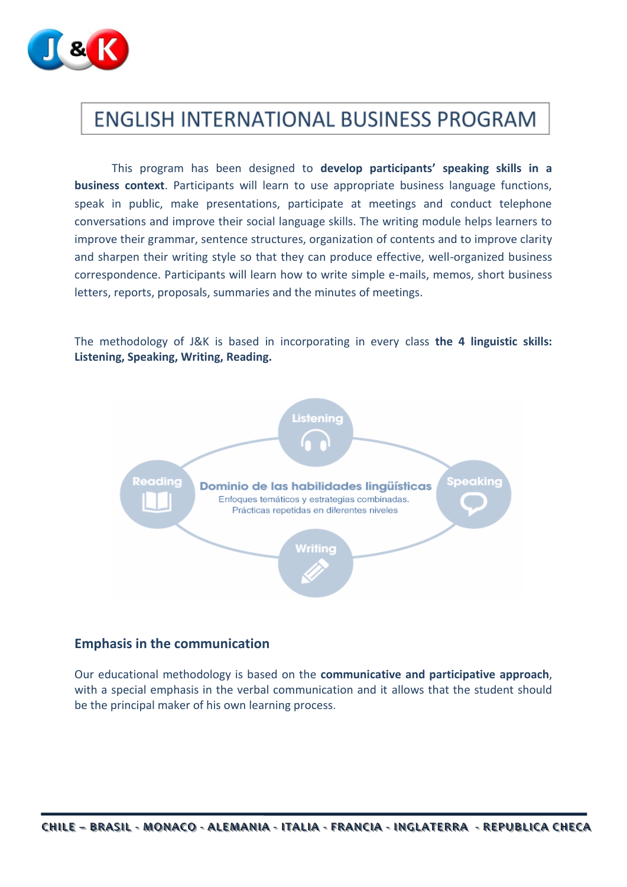

# **ENGLISH INTERNATIONAL BUSINESS PROGRAM**

This program has been designed to **develop participants' speaking skills in a business context**. Participants will learn to use appropriate business language functions, speak in public, make presentations, participate at meetings and conduct telephone conversations and improve their social language skills. The writing module helps learners to improve their grammar, sentence structures, organization of contents and to improve clarity and sharpen their writing style so that they can produce effective, well-organized business correspondence. Participants will learn how to write simple e-mails, memos, short business letters, reports, proposals, summaries and the minutes of meetings.

The methodology of J&K is based in incorporating in every class **the 4 linguistic skills: Listening, Speaking, Writing, Reading.**



### **Emphasis in the communication**

Our educational methodology is based on the **communicative and participative approach**, with a special emphasis in the verbal communication and it allows that the student should be the principal maker of his own learning process.